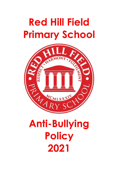# **Red Hill Field Primary School**



# **Anti-Bullying Policy 2021**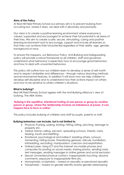#### **Aims of the Policy**

At Red Hill Field Primary School our primary aim is to prevent bullying from occurring but, where it does, we deal with it decisively and promptly.

Our vision is to create a positive learning environment where everyone is valued, supported and encouraged to achieve their full potential in all areas of their lives. We aim to create a safe, secure, stimulating, caring and positive learning environment and to encourage, support and include all learners so that they can achieve their full potential regardless of their ability, age, gender, background or race.

To ensure this happens, our Behaviour Policy, Anti-Bullying and Safeguarding policy will provide a robust framework so all children, staff and governors understand what behaviour is expected; how to encourage good behaviour and how to deal with unwanted behaviour.

This policy will outline how our children learn to develop a sense of self-worth and to respect similarities and differences – through various teaching methods and environmental features. In addition it will show how we help children to develop self-discipline and to understand how their actions impact on others and how to be sensitive to others children's situations.

#### **What is bullying?**

Red Hill Field Primary School agrees with the Anti-Bullying Alliance's view of bullying. The ABA states:

#### **'Bullying is the repetitive, intentional hurting of one person or group by another person or group, where the relationship involves an imbalance of power. It can happen face to face or online.'**

This policy includes bullying of children and staff by pupils, parents or staff.

#### **Bullying behaviour can include, but is not limited to:**

- Physical: Pushing, poking, kicking, hitting, biting, pinching, damage to property etc.
- Verbal: Name calling, sarcasm, spreading rumours, threats, nasty teasing, insults and belittling.
- Emotional, psychological and indirect: Isolating others, rumours, tormenting, hiding books, threatening gestures, ridicule, humiliation, intimidating, excluding, manipulation, coercion and exploitation.
- Online/cyber: Using ICT and the internet via mobile phones and computers for posting on social media, sharing photos, sending nasty text messages, sending messages in online games and social exclusion
- Sexual: Unwanted physical contact, inappropriate touching, abusive comments, exposure to inappropriate films etc.
- Homophobic or biphobic based on sexuality or perceived sexuality
- Transphobic based on gender identify and/or gender stereotyping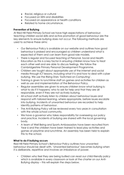- Racial, religious or cultural
- Focussed on SEN and disabilities
- Focussed on appearance or health conditions
- Related to home circumstance.

#### **Prevention of Bullying**

At Red Hill Field Primary School we have high expectations of behaviour; teaching children social skills and active promotion of good behaviour are the key elements to ensure bullying does not occur. The following methods are used to achieve these aims:

- Our Behaviour Policy is available on our website and outlines how good behaviour is praised and encouraged so children understand what is expected of them and can learn from good role models.
- There is regular and focused teaching of Personal, Social and Health Education as this is a key factor in ensuring children know how to treat each other well and are able to discuss feelings. We follow the Cambridgeshire Primary Personal Development Programme.
- Children are taught about appropriate use of the internet and social media through ICT lessons, including what it is and how to deal with cyber bullying. We use the Rising Stars 'Switched on Computing'.
- Training is given to lunchtime staff on games and activities for children as well as use and implementation of the Behaviour Policy.
- Regular assemblies are given to ensure children know what bullying is; what to do if it happens; who to ask for help and that they are all responsible, even if they are not actively bullying.
- All school staff actively listen to children about behaviour issues and respond with tailored learning, where appropriate, before issues escalate into bullying. Incidents of unwanted behaviour are recorded to help identify patterns of behaviour.
- The Anti-Bullying Policy will be reviewed every two years in consultation with the whole school community.
- We have a governor who takes responsibility for overseeing our policy and practice. Incidents of bullying are shared with the local governing body.
- A team of Well Being and Sports Ambassadors have been recruited from Year 6 and the children have been trained to lead play activities and games at playtime and lunchtime. An assembly has been held to explain this to the school.

### **What to do if bullying occurs**

Red Hill Field Primary School's Behaviour Policy outlines how unwanted behaviour should be dealt with. 'Unwanted behaviour' becomes bullying when it is deliberate, repetitive and involves an imbalance of power.

• Children who feel they are being bullied can read our child-friendly policy which is available in every classroom or look at the charter on our Anti-Bullying display – this will explain the steps below.